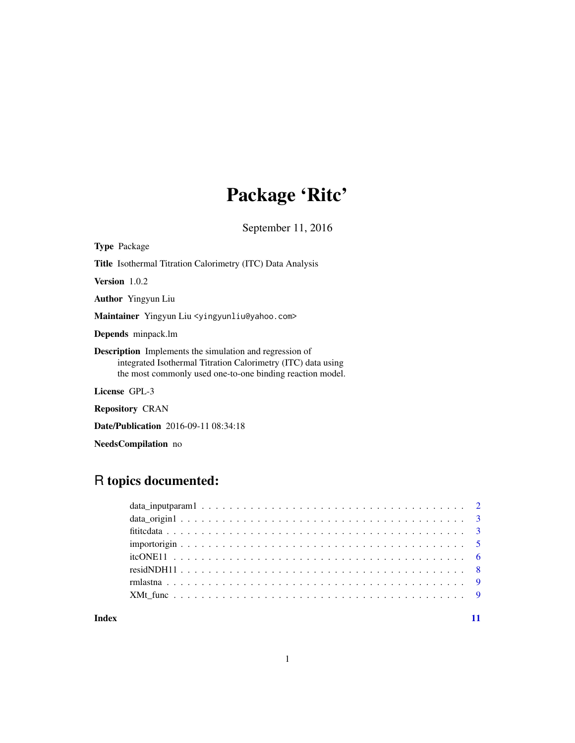## Package 'Ritc'

September 11, 2016

<span id="page-0-0"></span>Type Package Title Isothermal Titration Calorimetry (ITC) Data Analysis Version 1.0.2 Author Yingyun Liu Maintainer Yingyun Liu <yingyunliu@yahoo.com> Depends minpack.lm Description Implements the simulation and regression of integrated Isothermal Titration Calorimetry (ITC) data using the most commonly used one-to-one binding reaction model. License GPL-3

Repository CRAN

Date/Publication 2016-09-11 08:34:18

NeedsCompilation no

## R topics documented:

**Index** [11](#page-10-0)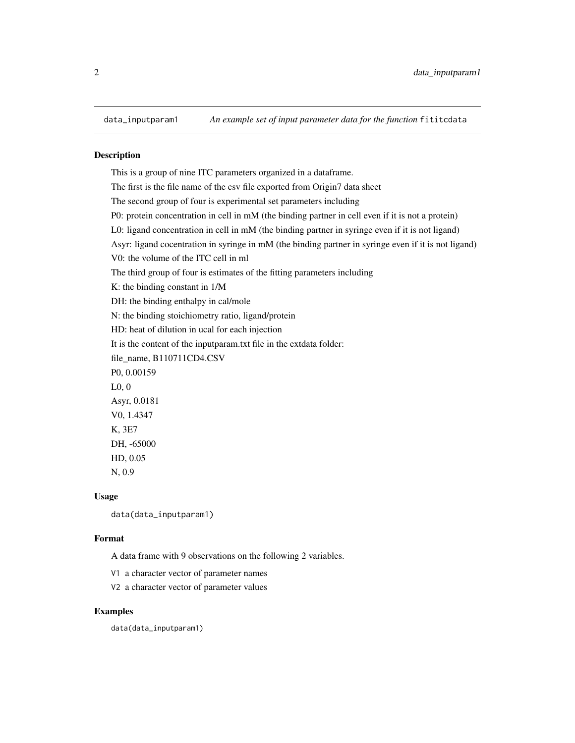<span id="page-1-0"></span>

This is a group of nine ITC parameters organized in a dataframe. The first is the file name of the csv file exported from Origin7 data sheet The second group of four is experimental set parameters including P0: protein concentration in cell in mM (the binding partner in cell even if it is not a protein) L0: ligand concentration in cell in mM (the binding partner in syringe even if it is not ligand) Asyr: ligand cocentration in syringe in mM (the binding partner in syringe even if it is not ligand) V0: the volume of the ITC cell in ml The third group of four is estimates of the fitting parameters including K: the binding constant in 1/M DH: the binding enthalpy in cal/mole N: the binding stoichiometry ratio, ligand/protein HD: heat of dilution in ucal for each injection It is the content of the inputparam.txt file in the extdata folder: file\_name, B110711CD4.CSV P0, 0.00159 L0, 0 Asyr, 0.0181 V0, 1.4347 K, 3E7 DH, -65000 HD, 0.05 N, 0.9

### Usage

data(data\_inputparam1)

### Format

A data frame with 9 observations on the following 2 variables.

V1 a character vector of parameter names

V2 a character vector of parameter values

### Examples

data(data\_inputparam1)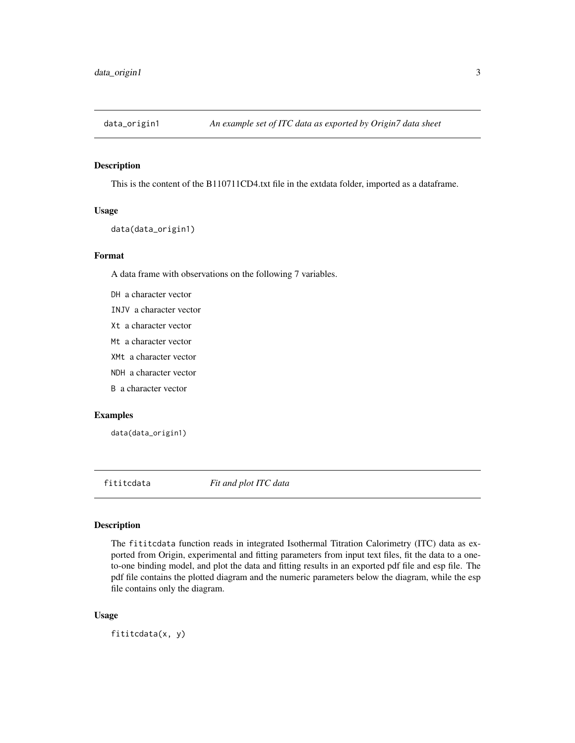<span id="page-2-0"></span>

This is the content of the B110711CD4.txt file in the extdata folder, imported as a dataframe.

### Usage

```
data(data_origin1)
```
### Format

A data frame with observations on the following 7 variables.

- DH a character vector
- INJV a character vector
- Xt a character vector
- Mt a character vector
- XMt a character vector
- NDH a character vector
- B a character vector

### Examples

data(data\_origin1)

<span id="page-2-1"></span>fititcdata *Fit and plot ITC data*

### Description

The fititcdata function reads in integrated Isothermal Titration Calorimetry (ITC) data as exported from Origin, experimental and fitting parameters from input text files, fit the data to a oneto-one binding model, and plot the data and fitting results in an exported pdf file and esp file. The pdf file contains the plotted diagram and the numeric parameters below the diagram, while the esp file contains only the diagram.

### Usage

fititcdata(x, y)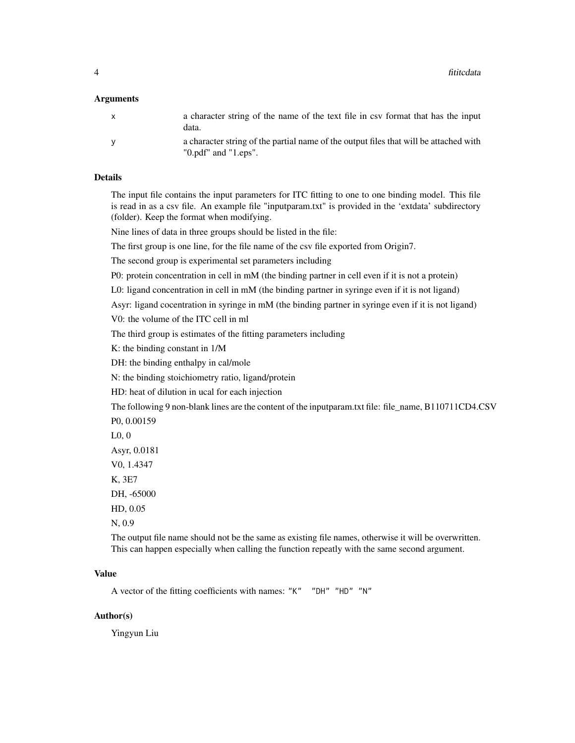### Arguments

| $\mathbf{x}$ | a character string of the name of the text file in csy format that has the input<br>data.                          |
|--------------|--------------------------------------------------------------------------------------------------------------------|
|              | a character string of the partial name of the output files that will be attached with<br>$"0.pdf"$ and $"1.eps"$ . |

### Details

The input file contains the input parameters for ITC fitting to one to one binding model. This file is read in as a csv file. An example file "inputparam.txt" is provided in the 'extdata' subdirectory (folder). Keep the format when modifying.

Nine lines of data in three groups should be listed in the file:

The first group is one line, for the file name of the csv file exported from Origin7.

The second group is experimental set parameters including

P0: protein concentration in cell in mM (the binding partner in cell even if it is not a protein)

L0: ligand concentration in cell in mM (the binding partner in syringe even if it is not ligand)

Asyr: ligand cocentration in syringe in mM (the binding partner in syringe even if it is not ligand)

V0: the volume of the ITC cell in ml

The third group is estimates of the fitting parameters including

K: the binding constant in 1/M

DH: the binding enthalpy in cal/mole

N: the binding stoichiometry ratio, ligand/protein

HD: heat of dilution in ucal for each injection

The following 9 non-blank lines are the content of the inputparam.txt file: file\_name, B110711CD4.CSV

P0, 0.00159

L0, 0

Asyr, 0.0181

V0, 1.4347

K, 3E7

DH, -65000

HD, 0.05

N, 0.9

The output file name should not be the same as existing file names, otherwise it will be overwritten. This can happen especially when calling the function repeatly with the same second argument.

### Value

A vector of the fitting coefficients with names: "K" "DH" "HD" "N"

### Author(s)

Yingyun Liu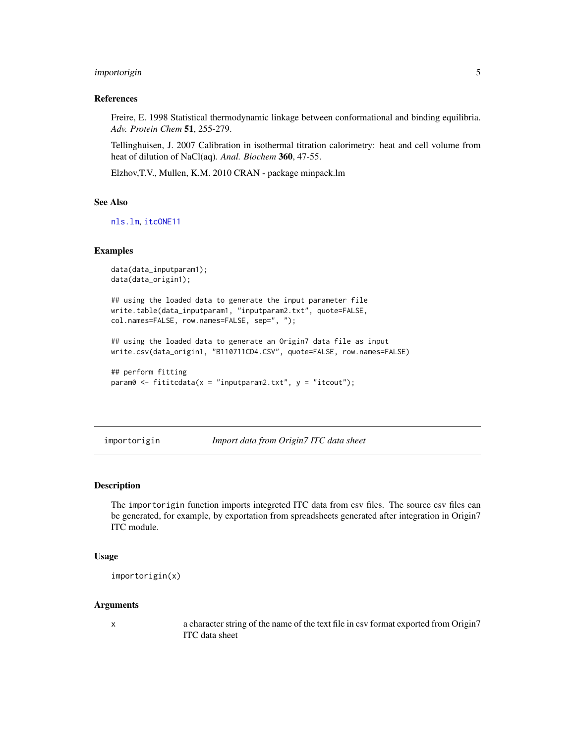### <span id="page-4-0"></span>importorigin 5

### References

Freire, E. 1998 Statistical thermodynamic linkage between conformational and binding equilibria. *Adv. Protein Chem* 51, 255-279.

Tellinghuisen, J. 2007 Calibration in isothermal titration calorimetry: heat and cell volume from heat of dilution of NaCl(aq). *Anal. Biochem* 360, 47-55.

Elzhov,T.V., Mullen, K.M. 2010 CRAN - package minpack.lm

### See Also

[nls.lm](#page-0-0), [itcONE11](#page-5-1)

### Examples

```
data(data_inputparam1);
data(data_origin1);
```
## using the loaded data to generate the input parameter file write.table(data\_inputparam1, "inputparam2.txt", quote=FALSE, col.names=FALSE, row.names=FALSE, sep=", ");

## using the loaded data to generate an Origin7 data file as input write.csv(data\_origin1, "B110711CD4.CSV", quote=FALSE, row.names=FALSE)

```
## perform fitting
param@ <- fittedata(x = "inputparam2.txt", y = "itcount");
```
importorigin *Import data from Origin7 ITC data sheet*

### Description

The importorigin function imports integreted ITC data from csv files. The source csv files can be generated, for example, by exportation from spreadsheets generated after integration in Origin7 ITC module.

### Usage

```
importorigin(x)
```
### Arguments

x a character string of the name of the text file in csv format exported from Origin7 ITC data sheet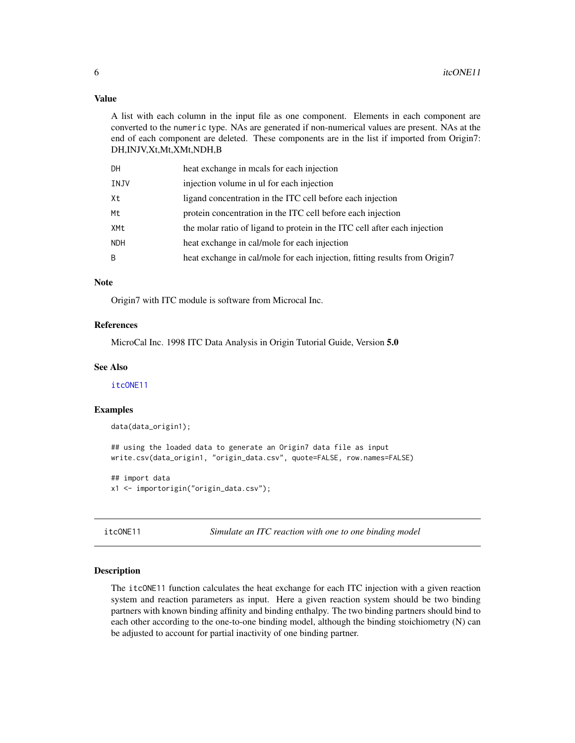### <span id="page-5-0"></span>Value

A list with each column in the input file as one component. Elements in each component are converted to the numeric type. NAs are generated if non-numerical values are present. NAs at the end of each component are deleted. These components are in the list if imported from Origin7: DH,INJV,Xt,Mt,XMt,NDH,B

| DН   | heat exchange in meals for each injection                                  |
|------|----------------------------------------------------------------------------|
| INJV | injection volume in ul for each injection                                  |
| Χt   | ligand concentration in the ITC cell before each injection                 |
| Мt   | protein concentration in the ITC cell before each injection                |
| XMt  | the molar ratio of ligand to protein in the ITC cell after each injection  |
| NDH  | heat exchange in cal/mole for each injection                               |
| B    | heat exchange in cal/mole for each injection, fitting results from Origin7 |
|      |                                                                            |

### Note

Origin7 with ITC module is software from Microcal Inc.

### References

MicroCal Inc. 1998 ITC Data Analysis in Origin Tutorial Guide, Version 5.0

### See Also

[itcONE11](#page-5-1)

### Examples

data(data\_origin1);

## using the loaded data to generate an Origin7 data file as input write.csv(data\_origin1, "origin\_data.csv", quote=FALSE, row.names=FALSE)

## import data x1 <- importorigin("origin\_data.csv");

<span id="page-5-1"></span>itcONE11 *Simulate an ITC reaction with one to one binding model*

### Description

The itcONE11 function calculates the heat exchange for each ITC injection with a given reaction system and reaction parameters as input. Here a given reaction system should be two binding partners with known binding affinity and binding enthalpy. The two binding partners should bind to each other according to the one-to-one binding model, although the binding stoichiometry (N) can be adjusted to account for partial inactivity of one binding partner.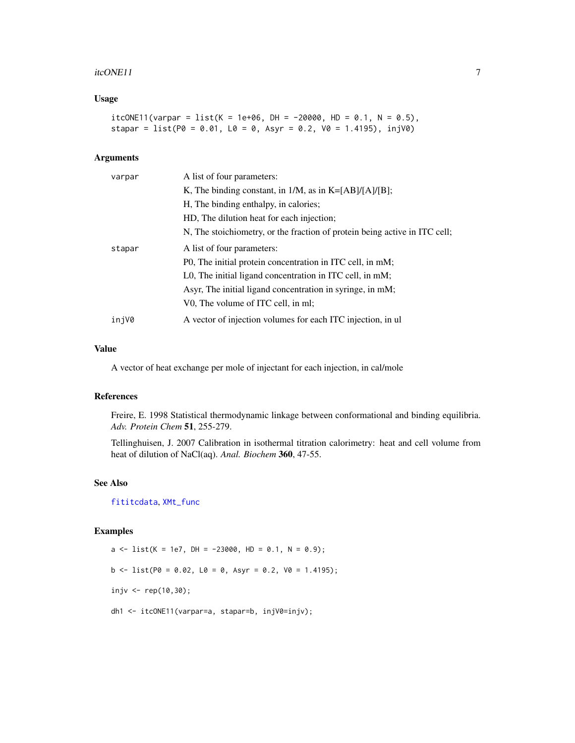### <span id="page-6-0"></span>itcONE11 7

### Usage

itcONE11(varpar = list(K = 1e+06, DH = -20000, HD = 0.1, N = 0.5), stapar =  $list(P0 = 0.01, L0 = 0, Asyr = 0.2, V0 = 1.4195)$ ,  $injV0$ )

### Arguments

| varpar | A list of four parameters:                                                 |
|--------|----------------------------------------------------------------------------|
|        | K, The binding constant, in $1/M$ , as in K=[AB]/[A]/[B];                  |
|        | H, The binding enthalpy, in calories;                                      |
|        | HD, The dilution heat for each injection;                                  |
|        | N, The stoichiometry, or the fraction of protein being active in ITC cell; |
| stapar | A list of four parameters:                                                 |
|        | P0, The initial protein concentration in ITC cell, in mM;                  |
|        | L0, The initial ligand concentration in ITC cell, in mM;                   |
|        | Asyr, The initial ligand concentration in syringe, in mM;                  |
|        | V0, The volume of ITC cell, in ml;                                         |
| injV0  | A vector of injection volumes for each ITC injection, in ul                |

### Value

A vector of heat exchange per mole of injectant for each injection, in cal/mole

### References

Freire, E. 1998 Statistical thermodynamic linkage between conformational and binding equilibria. *Adv. Protein Chem* 51, 255-279.

Tellinghuisen, J. 2007 Calibration in isothermal titration calorimetry: heat and cell volume from heat of dilution of NaCl(aq). *Anal. Biochem* 360, 47-55.

### See Also

[fititcdata](#page-2-1), [XMt\\_func](#page-8-1)

### Examples

 $a \leq 1$ ist(K = 1e7, DH = -23000, HD = 0.1, N = 0.9);  $b \le -\text{list}(\text{P0 = 0.02}, \text{L0 = 0}, \text{Asyr = 0.2}, \text{V0 = 1.4195});$ injv <- rep(10,30); dh1 <- itcONE11(varpar=a, stapar=b, injV0=injv);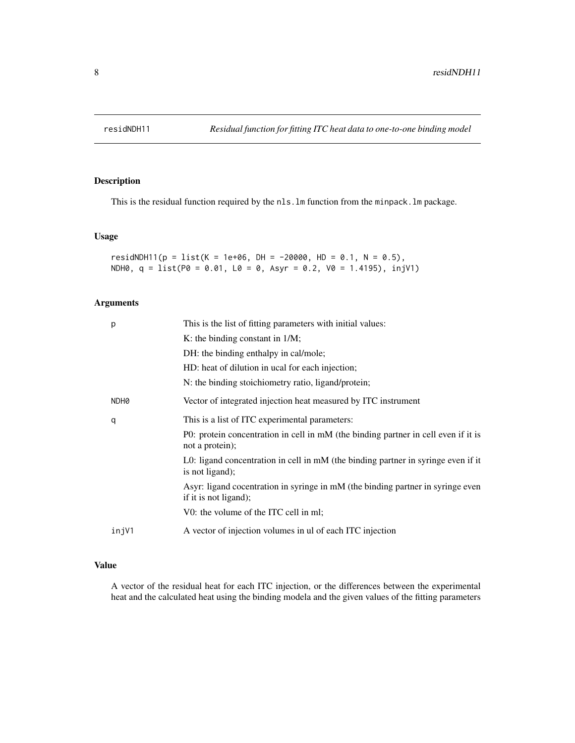<span id="page-7-0"></span>

This is the residual function required by the nls.lm function from the minpack.lm package.

### Usage

```
residNDH11(p = list(K = 1e+06, DH = -20000, HD = 0.1, N = 0.5),
NDH0, q = list(P0 = 0.01, L0 = 0, Asyr = 0.2, V0 = 1.4195), injV1)
```
### Arguments

| p     | This is the list of fitting parameters with initial values:                                              |
|-------|----------------------------------------------------------------------------------------------------------|
|       | K: the binding constant in $1/M$ ;                                                                       |
|       | DH: the binding enthalpy in cal/mole;                                                                    |
|       | HD: heat of dilution in ucal for each injection;                                                         |
|       | N: the binding stoichiometry ratio, ligand/protein;                                                      |
| NDH0  | Vector of integrated injection heat measured by ITC instrument                                           |
| q     | This is a list of ITC experimental parameters:                                                           |
|       | P0: protein concentration in cell in mM (the binding partner in cell even if it is<br>not a protein);    |
|       | L0: ligand concentration in cell in mM (the binding partner in syringe even if it<br>is not ligand);     |
|       | Asyr: ligand cocentration in syringe in mM (the binding partner in syringe even<br>if it is not ligand); |
|       | V0: the volume of the ITC cell in ml;                                                                    |
| injV1 | A vector of injection volumes in ul of each ITC injection                                                |

### Value

A vector of the residual heat for each ITC injection, or the differences between the experimental heat and the calculated heat using the binding modela and the given values of the fitting parameters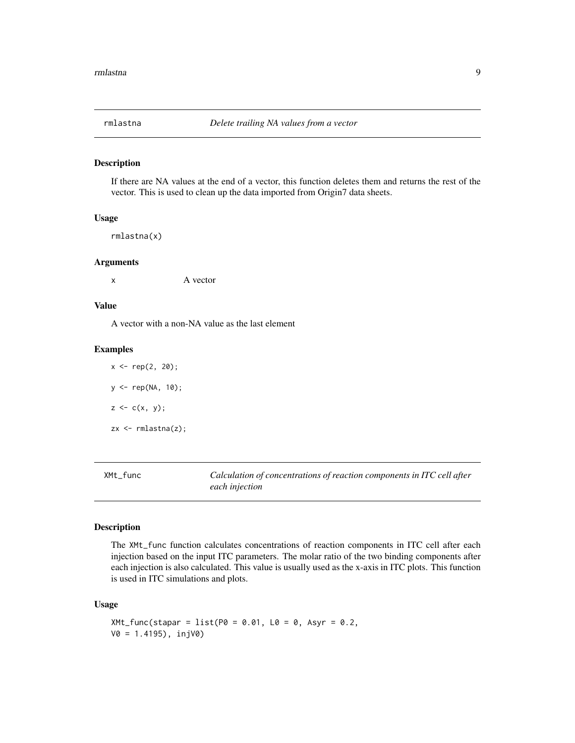<span id="page-8-0"></span>

If there are NA values at the end of a vector, this function deletes them and returns the rest of the vector. This is used to clean up the data imported from Origin7 data sheets.

### Usage

rmlastna(x)

### Arguments

x A vector

### Value

A vector with a non-NA value as the last element

### Examples

 $x \leq -rep(2, 20);$ y <- rep(NA, 10);  $z < -c(x, y);$ zx <- rmlastna(z);

<span id="page-8-1"></span>XMt\_func *Calculation of concentrations of reaction components in ITC cell after each injection*

### Description

The XMt\_func function calculates concentrations of reaction components in ITC cell after each injection based on the input ITC parameters. The molar ratio of the two binding components after each injection is also calculated. This value is usually used as the x-axis in ITC plots. This function is used in ITC simulations and plots.

### Usage

```
XMLfunc (stapar = list(P0 = 0.01, L0 = 0, Asyr = 0.2,V0 = 1.4195), injV0)
```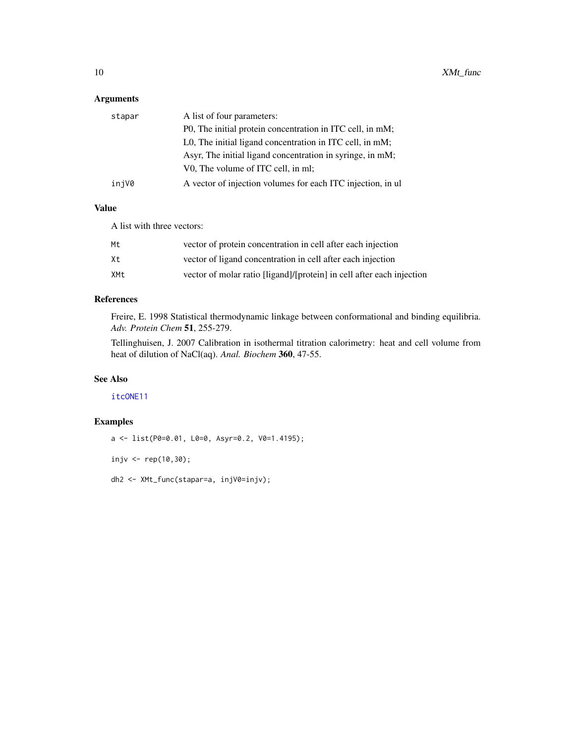### <span id="page-9-0"></span>Arguments

| stapar | A list of four parameters:                                  |
|--------|-------------------------------------------------------------|
|        | P0, The initial protein concentration in ITC cell, in mM;   |
|        | L0, The initial ligand concentration in ITC cell, in mM;    |
|        | Asyr, The initial ligand concentration in syringe, in mM;   |
|        | V0, The volume of ITC cell, in ml;                          |
| injV0  | A vector of injection volumes for each ITC injection, in ul |

### Value

A list with three vectors:

| Mt. | vector of protein concentration in cell after each injection          |
|-----|-----------------------------------------------------------------------|
| Xt. | vector of ligand concentration in cell after each injection           |
| XMt | vector of molar ratio [ligand]/[protein] in cell after each injection |

### References

Freire, E. 1998 Statistical thermodynamic linkage between conformational and binding equilibria. *Adv. Protein Chem* 51, 255-279.

Tellinghuisen, J. 2007 Calibration in isothermal titration calorimetry: heat and cell volume from heat of dilution of NaCl(aq). *Anal. Biochem* 360, 47-55.

### See Also

[itcONE11](#page-5-1)

### Examples

```
a <- list(P0=0.01, L0=0, Asyr=0.2, V0=1.4195);
injv <- rep(10,30);
dh2 <- XMt_func(stapar=a, injV0=injv);
```